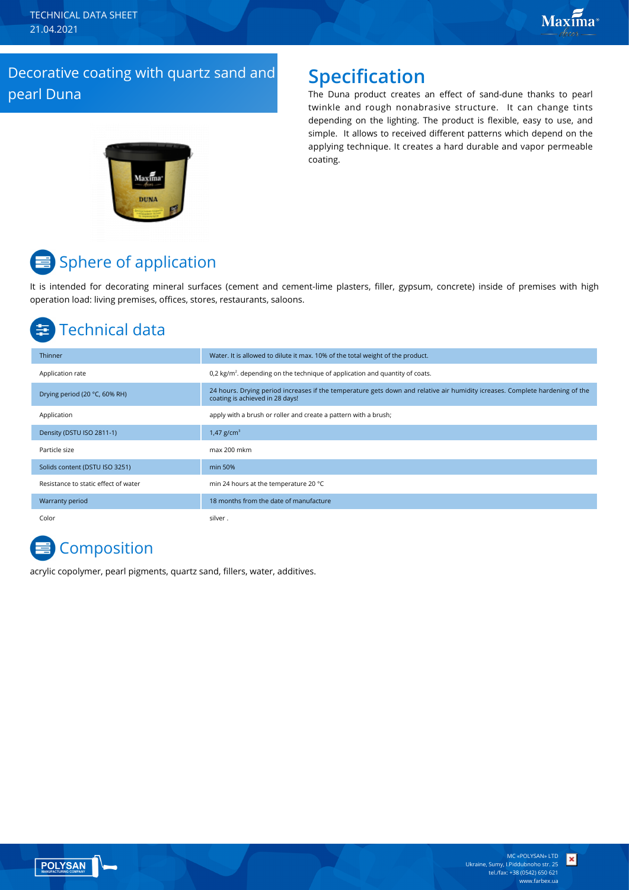TECHNICAL DATA SHEET 21.04.2021

### Decorative coating with quartz sand and pearl Duna

### **Specification**

The Duna product creates an effect of sand-dune thanks to pearl twinkle and rough nonabrasive structure. It can change tints depending on the lighting. The product is flexible, easy to use, and simple. It allows to received different patterns which depend on the applying technique. It creates a hard durable and vapor permeable coating.



# **■** Sphere of application

It is intended for decorating mineral surfaces (cement and cement-lime plasters, filler, gypsum, concrete) inside of premises with high operation load: living premises, offices, stores, restaurants, saloons.

# Technical data

| Thinner                              | Water. It is allowed to dilute it max. 10% of the total weight of the product.                                                                                  |
|--------------------------------------|-----------------------------------------------------------------------------------------------------------------------------------------------------------------|
| Application rate                     | 0,2 kg/m <sup>2</sup> . depending on the technique of application and quantity of coats.                                                                        |
| Drying period (20 °C, 60% RH)        | 24 hours. Drying period increases if the temperature gets down and relative air humidity icreases. Complete hardening of the<br>coating is achieved in 28 days! |
| Application                          | apply with a brush or roller and create a pattern with a brush;                                                                                                 |
| Density (DSTU ISO 2811-1)            | 1,47 $g/cm^{3}$                                                                                                                                                 |
| Particle size                        | max 200 mkm                                                                                                                                                     |
| Solids content (DSTU ISO 3251)       | min 50%                                                                                                                                                         |
| Resistance to static effect of water | min 24 hours at the temperature 20 °C                                                                                                                           |
| Warranty period                      | 18 months from the date of manufacture                                                                                                                          |
| Color                                | silver.                                                                                                                                                         |

# **Composition**

acrylic copolymer, pearl pigments, quartz sand, fillers, water, additives.



×